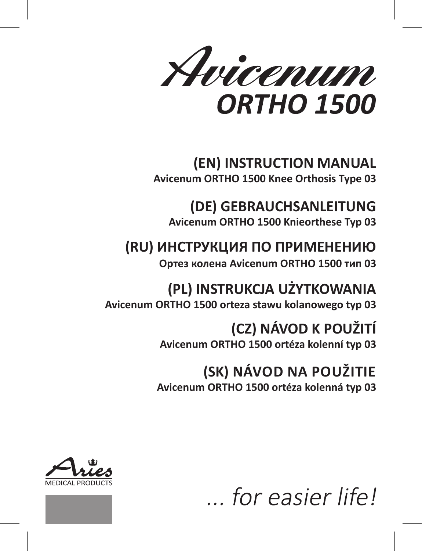Avicenum **ORTHO 1500** 

# **(EN) INSTRUCTION MANUAL Avicenum ORTHO 1500 Knee Orthosis Type 03**

**(DE) GEBRAUCHSANLEITUNG Avicenum ORTHO 1500 Knieorthese Typ 03**

# **(RU) ИНСТРУКЦИЯ ПО ПРИМЕНЕНИЮ**

**Ортез колена Avicenum ORTHO 1500 тип 03**

# **(PL) INSTRUKCJA UŻYTKOWANIA Avicenum ORTHO 1500 orteza stawu kolanowego typ 03**

**(CZ) NÁVOD K POUŽITÍ Avicenum ORTHO 1500 ortéza kolenní typ 03**

# **(SK) NÁVOD NA POUŽITIE Avicenum ORTHO 1500 ortéza kolenná typ 03**





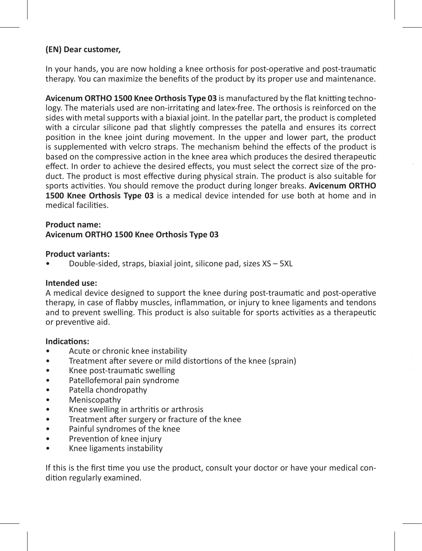# **(EN) Dear customer,**

In your hands, you are now holding a knee orthosis for post-operative and post-traumatic therapy. You can maximize the benefits of the product by its proper use and maintenance.

**Avicenum ORTHO 1500 Knee Orthosis Type 03** is manufactured by the flat knitting technology. The materials used are non-irritating and latex-free. The orthosis is reinforced on the sides with metal supports with a biaxial joint. In the patellar part, the product is completed with a circular silicone pad that slightly compresses the patella and ensures its correct position in the knee joint during movement. In the upper and lower part, the product is supplemented with velcro straps. The mechanism behind the effects of the product is based on the compressive action in the knee area which produces the desired therapeutic effect. In order to achieve the desired effects, you must select the correct size of the product. The product is most effective during physical strain. The product is also suitable for sports activities. You should remove the product during longer breaks. **Avicenum ORTHO 1500 Knee Orthosis Type 03** is a medical device intended for use both at home and in medical facilities.

#### **Product name: Avicenum ORTHO 1500 Knee Orthosis Type 03**

#### **Product variants:**

• Double-sided, straps, biaxial joint, silicone pad, sizes XS – 5XL

#### **Intended use:**

A medical device designed to support the knee during post-traumatic and post-operative therapy, in case of flabby muscles, inflammation, or injury to knee ligaments and tendons and to prevent swelling. This product is also suitable for sports activities as a therapeutic or preventive aid.

#### **Indications:**

- Acute or chronic knee instability
- Treatment after severe or mild distortions of the knee (sprain)
- Knee post-traumatic swelling
- Patellofemoral pain syndrome
- Patella chondropathy
- Meniscopathy
- Knee swelling in arthritis or arthrosis
- Treatment after surgery or fracture of the knee
- Painful syndromes of the knee
- Prevention of knee injury
- Knee ligaments instability

If this is the first time you use the product, consult your doctor or have your medical condition regularly examined.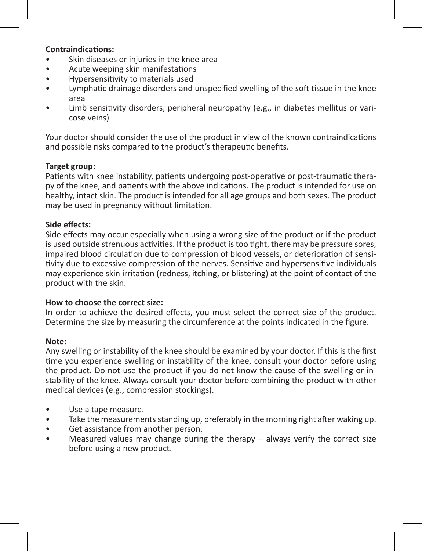## **Contraindications:**

- Skin diseases or injuries in the knee area
- Acute weeping skin manifestations
- Hypersensitivity to materials used
- Lymphatic drainage disorders and unspecified swelling of the soft tissue in the knee area
- Limb sensitivity disorders, peripheral neuropathy (e.g., in diabetes mellitus or varicose veins)

Your doctor should consider the use of the product in view of the known contraindications and possible risks compared to the product's therapeutic benefits.

### **Target group:**

Patients with knee instability, patients undergoing post-operative or post-traumatic therapy of the knee, and patients with the above indications. The product is intended for use on healthy, intact skin. The product is intended for all age groups and both sexes. The product may be used in pregnancy without limitation.

#### **Side effects:**

Side effects may occur especially when using a wrong size of the product or if the product is used outside strenuous activities. If the product is too tight, there may be pressure sores, impaired blood circulation due to compression of blood vessels, or deterioration of sensitivity due to excessive compression of the nerves. Sensitive and hypersensitive individuals may experience skin irritation (redness, itching, or blistering) at the point of contact of the product with the skin.

#### **How to choose the correct size:**

In order to achieve the desired effects, you must select the correct size of the product. Determine the size by measuring the circumference at the points indicated in the figure.

#### **Note:**

Any swelling or instability of the knee should be examined by your doctor. If this is the first time you experience swelling or instability of the knee, consult your doctor before using the product. Do not use the product if you do not know the cause of the swelling or instability of the knee. Always consult your doctor before combining the product with other medical devices (e.g., compression stockings).

- Use a tape measure.
- Take the measurements standing up, preferably in the morning right after waking up.
- Get assistance from another person.
- Measured values may change during the therapy always verify the correct size before using a new product.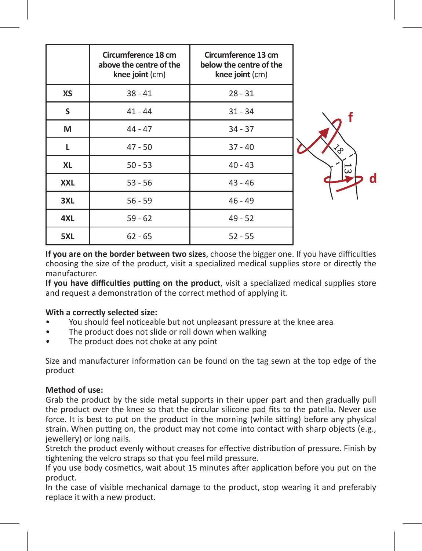|            | Circumference 18 cm<br>above the centre of the<br>knee joint (cm) | Circumference 13 cm<br>below the centre of the<br>knee joint (cm) |    |
|------------|-------------------------------------------------------------------|-------------------------------------------------------------------|----|
| XS         | $38 - 41$                                                         | $28 - 31$                                                         |    |
| S          | $41 - 44$                                                         | $31 - 34$                                                         |    |
| м          | $44 - 47$                                                         | $34 - 37$                                                         |    |
| L          | $47 - 50$                                                         | $37 - 40$                                                         |    |
| <b>XL</b>  | $50 - 53$                                                         | $40 - 43$                                                         | 53 |
| <b>XXL</b> | $53 - 56$                                                         | $43 - 46$                                                         |    |
| 3XL        | $56 - 59$                                                         | $46 - 49$                                                         |    |
| 4XL        | $59 - 62$                                                         | $49 - 52$                                                         |    |
| 5XL        | $62 - 65$                                                         | $52 - 55$                                                         |    |

**If you are on the border between two sizes**, choose the bigger one. If you have difficulties choosing the size of the product, visit a specialized medical supplies store or directly the manufacturer.

**If you have difficulties putting on the product**, visit a specialized medical supplies store and request a demonstration of the correct method of applying it.

## **With a correctly selected size:**

- You should feel noticeable but not unpleasant pressure at the knee area
- The product does not slide or roll down when walking
- The product does not choke at any point

Size and manufacturer information can be found on the tag sewn at the top edge of the product

#### **Method of use:**

Grab the product by the side metal supports in their upper part and then gradually pull the product over the knee so that the circular silicone pad fits to the patella. Never use force. It is best to put on the product in the morning (while sitting) before any physical strain. When putting on, the product may not come into contact with sharp objects (e.g., jewellery) or long nails.

Stretch the product evenly without creases for effective distribution of pressure. Finish by tightening the velcro straps so that you feel mild pressure.

If you use body cosmetics, wait about 15 minutes after application before you put on the product.

In the case of visible mechanical damage to the product, stop wearing it and preferably replace it with a new product.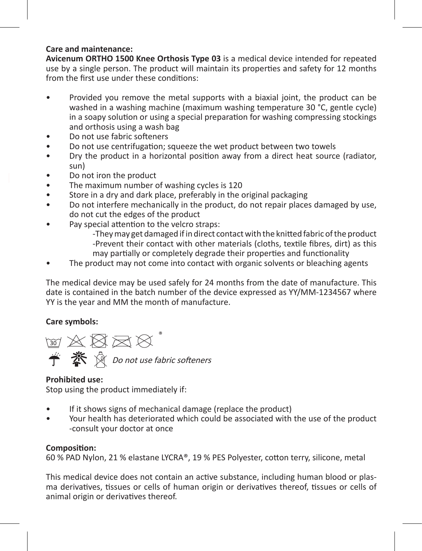# **Care and maintenance:**

**Avicenum ORTHO 1500 Knee Orthosis Type 03** is a medical device intended for repeated use by a single person. The product will maintain its properties and safety for 12 months from the first use under these conditions:

- Provided you remove the metal supports with a biaxial joint, the product can be washed in a washing machine (maximum washing temperature 30 °C, gentle cycle) in a soapy solution or using a special preparation for washing compressing stockings and orthosis using a wash bag
- Do not use fabric softeners
- Do not use centrifugation; squeeze the wet product between two towels
- Dry the product in a horizontal position away from a direct heat source (radiator, sun)
- Do not iron the product
- The maximum number of washing cycles is 120
- Store in a dry and dark place, preferably in the original packaging
- Do not interfere mechanically in the product, do not repair places damaged by use, do not cut the edges of the product
- Pay special attention to the velcro straps:

-They may get damaged if in direct contact with the knitted fabric of the product -Prevent their contact with other materials (cloths, textile fibres, dirt) as this may partially or completely degrade their properties and functionality

The product may not come into contact with organic solvents or bleaching agents

The medical device may be used safely for 24 months from the date of manufacture. This date is contained in the batch number of the device expressed as YY/MM-1234567 where YY is the year and MM the month of manufacture.

## **Care symbols:**

2008年12 Do not use fabric softeners

## **Prohibited use:**

Stop using the product immediately if:

- If it shows signs of mechanical damage (replace the product)
- Your health has deteriorated which could be associated with the use of the product -consult your doctor at once

## **Composition:**

60 % PAD Nylon, 21 % elastane LYCRA®, 19 % PES Polyester, cotton terry, silicone, metal

This medical device does not contain an active substance, including human blood or plasma derivatives, tissues or cells of human origin or derivatives thereof, tissues or cells of animal origin or derivatives thereof.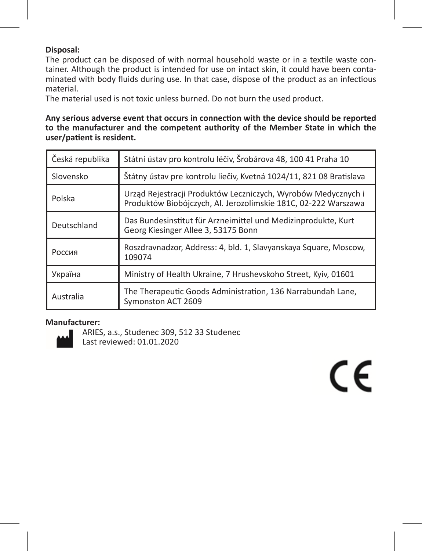# **Disposal:**

The product can be disposed of with normal household waste or in a textile waste container. Although the product is intended for use on intact skin, it could have been contaminated with body fluids during use. In that case, dispose of the product as an infectious material.

The material used is not toxic unless burned. Do not burn the used product.

**Any serious adverse event that occurs in connection with the device should be reported to the manufacturer and the competent authority of the Member State in which the user/patient is resident.**

| Státní ústav pro kontrolu léčiv, Šrobárova 48, 100 41 Praha 10<br>Česká republika |                                                                                                                                 |
|-----------------------------------------------------------------------------------|---------------------------------------------------------------------------------------------------------------------------------|
| Slovensko                                                                         | Štátny ústav pre kontrolu liečiv, Kvetná 1024/11, 821 08 Bratislava                                                             |
| Polska                                                                            | Urząd Rejestracji Produktów Leczniczych, Wyrobów Medycznych i<br>Produktów Biobójczych, Al. Jerozolimskie 181C, 02-222 Warszawa |
| Deutschland                                                                       | Das Bundesinstitut für Arzneimittel und Medizinprodukte, Kurt<br>Georg Kiesinger Allee 3, 53175 Bonn                            |
| Россия                                                                            | Roszdravnadzor, Address: 4, bld. 1, Slavyanskaya Square, Moscow,<br>109074                                                      |
| Україна                                                                           | Ministry of Health Ukraine, 7 Hrushevskoho Street, Kyiv, 01601                                                                  |
| Australia                                                                         | The Therapeutic Goods Administration, 136 Narrabundah Lane,<br>Symonston ACT 2609                                               |

 $\epsilon$ 

#### **Manufacturer:**



ARIES, a.s., Studenec 309, 512 33 Studenec Last reviewed: 01.01.2020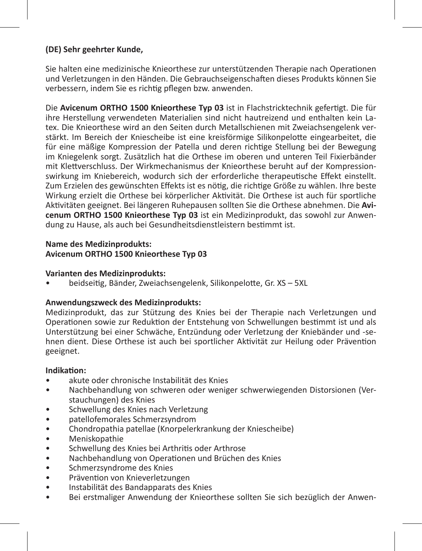# **(DE) Sehr geehrter Kunde,**

Sie halten eine medizinische Knieorthese zur unterstützenden Therapie nach Operationen und Verletzungen in den Händen. Die Gebrauchseigenschaften dieses Produkts können Sie verbessern, indem Sie es richtig pflegen bzw. anwenden.

Die **Avicenum ORTHO 1500 Knieorthese Typ 03** ist in Flachstricktechnik gefertigt. Die für ihre Herstellung verwendeten Materialien sind nicht hautreizend und enthalten kein Latex. Die Knieorthese wird an den Seiten durch Metallschienen mit Zweiachsengelenk verstärkt. Im Bereich der Kniescheibe ist eine kreisförmige Silikonpelotte eingearbeitet, die für eine mäßige Kompression der Patella und deren richtige Stellung bei der Bewegung im Kniegelenk sorgt. Zusätzlich hat die Orthese im oberen und unteren Teil Fixierbänder mit Klettverschluss. Der Wirkmechanismus der Knieorthese beruht auf der Kompressionswirkung im Kniebereich, wodurch sich der erforderliche therapeutische Effekt einstellt. Zum Erzielen des gewünschten Effekts ist es nötig, die richtige Größe zu wählen. Ihre beste Wirkung erzielt die Orthese bei körperlicher Aktivität. Die Orthese ist auch für sportliche Aktivitäten geeignet. Bei längeren Ruhepausen sollten Sie die Orthese abnehmen. Die **Avicenum ORTHO 1500 Knieorthese Typ 03** ist ein Medizinprodukt, das sowohl zur Anwendung zu Hause, als auch bei Gesundheitsdienstleistern bestimmt ist.

# **Name des Medizinprodukts: Avicenum ORTHO 1500 Knieorthese Typ 03**

## **Varianten des Medizinprodukts:**

• beidseitig, Bänder, Zweiachsengelenk, Silikonpelotte, Gr. XS – 5XL

# **Anwendungszweck des Medizinprodukts:**

Medizinprodukt, das zur Stützung des Knies bei der Therapie nach Verletzungen und Operationen sowie zur Reduktion der Entstehung von Schwellungen bestimmt ist und als Unterstützung bei einer Schwäche, Entzündung oder Verletzung der Kniebänder und -sehnen dient. Diese Orthese ist auch bei sportlicher Aktivität zur Heilung oder Prävention geeignet.

## **Indikation:**

- akute oder chronische Instabilität des Knies
- Nachbehandlung von schweren oder weniger schwerwiegenden Distorsionen (Verstauchungen) des Knies
- Schwellung des Knies nach Verletzung
- patellofemorales Schmerzsyndrom
- Chondropathia patellae (Knorpelerkrankung der Kniescheibe)
- Meniskopathie
- Schwellung des Knies bei Arthritis oder Arthrose
- Nachbehandlung von Operationen und Brüchen des Knies
- Schmerzsyndrome des Knies
- Prävention von Knieverletzungen
- Instabilität des Bandapparats des Knies
- Bei erstmaliger Anwendung der Knieorthese sollten Sie sich bezüglich der Anwen-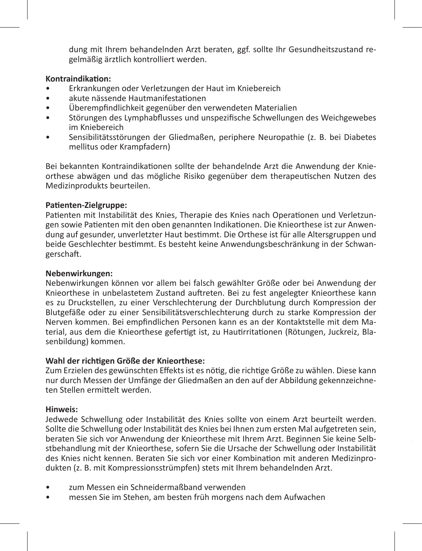dung mit Ihrem behandelnden Arzt beraten, ggf. sollte Ihr Gesundheitszustand regelmäßig ärztlich kontrolliert werden.

#### **Kontraindikation:**

- Erkrankungen oder Verletzungen der Haut im Kniebereich
- akute nässende Hautmanifestationen
- Überempfindlichkeit gegenüber den verwendeten Materialien
- Störungen des Lymphabflusses und unspezifische Schwellungen des Weichgewebes im Kniebereich
- Sensibilitätsstörungen der Gliedmaßen, periphere Neuropathie (z. B. bei Diabetes mellitus oder Krampfadern)

Bei bekannten Kontraindikationen sollte der behandelnde Arzt die Anwendung der Knieorthese abwägen und das mögliche Risiko gegenüber dem therapeutischen Nutzen des Medizinprodukts beurteilen.

# **Patienten-Zielgruppe:**

Patienten mit Instabilität des Knies, Therapie des Knies nach Operationen und Verletzungen sowie Patienten mit den oben genannten Indikationen. Die Knieorthese ist zur Anwendung auf gesunder, unverletzter Haut bestimmt. Die Orthese ist für alle Altersgruppen und beide Geschlechter bestimmt. Es besteht keine Anwendungsbeschränkung in der Schwangerschaft.

# **Nebenwirkungen:**

Nebenwirkungen können vor allem bei falsch gewählter Größe oder bei Anwendung der Knieorthese in unbelastetem Zustand auftreten. Bei zu fest angelegter Knieorthese kann es zu Druckstellen, zu einer Verschlechterung der Durchblutung durch Kompression der Blutgefäße oder zu einer Sensibilitätsverschlechterung durch zu starke Kompression der Nerven kommen. Bei empfindlichen Personen kann es an der Kontaktstelle mit dem Material, aus dem die Knieorthese gefertigt ist, zu Hautirritationen (Rötungen, Juckreiz, Blasenbildung) kommen.

## **Wahl der richtigen Größe der Knieorthese:**

Zum Erzielen des gewünschten Effekts ist es nötig, die richtige Größe zu wählen. Diese kann nur durch Messen der Umfänge der Gliedmaßen an den auf der Abbildung gekennzeichneten Stellen ermittelt werden.

## **Hinweis:**

Jedwede Schwellung oder Instabilität des Knies sollte von einem Arzt beurteilt werden. Sollte die Schwellung oder Instabilität des Knies bei Ihnen zum ersten Mal aufgetreten sein, beraten Sie sich vor Anwendung der Knieorthese mit Ihrem Arzt. Beginnen Sie keine Selbstbehandlung mit der Knieorthese, sofern Sie die Ursache der Schwellung oder Instabilität des Knies nicht kennen. Beraten Sie sich vor einer Kombination mit anderen Medizinprodukten (z. B. mit Kompressionsstrümpfen) stets mit Ihrem behandelnden Arzt.

- zum Messen ein Schneidermaßband verwenden
- messen Sie im Stehen, am besten früh morgens nach dem Aufwachen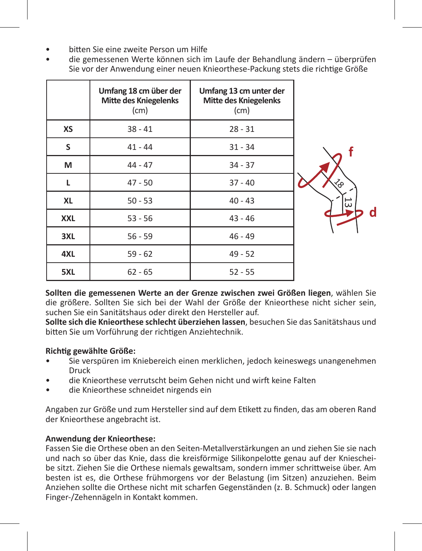- bitten Sie eine zweite Person um Hilfe
- die gemessenen Werte können sich im Laufe der Behandlung ändern überprüfen Sie vor der Anwendung einer neuen Knieorthese-Packung stets die richtige Größe

|            | Umfang 18 cm über der<br>Mitte des Kniegelenks<br>(cm) | Umfang 13 cm unter der<br><b>Mitte des Kniegelenks</b><br>(cm) |    |
|------------|--------------------------------------------------------|----------------------------------------------------------------|----|
| XS         | $38 - 41$                                              | $28 - 31$                                                      |    |
| S          | $41 - 44$                                              | $31 - 34$                                                      |    |
| м          | $44 - 47$                                              | $34 - 37$                                                      |    |
| L          | $47 - 50$                                              | $37 - 40$                                                      | ′∩ |
| <b>XL</b>  | $50 - 53$                                              | $40 - 43$                                                      | ದ  |
| <b>XXL</b> | $53 - 56$                                              | $43 - 46$                                                      |    |
| 3XL        | $56 - 59$                                              | $46 - 49$                                                      |    |
| 4XL        | $59 - 62$                                              | $49 - 52$                                                      |    |
| 5XL        | $62 - 65$                                              | $52 - 55$                                                      |    |

**Sollten die gemessenen Werte an der Grenze zwischen zwei Größen liegen**, wählen Sie die größere. Sollten Sie sich bei der Wahl der Größe der Knieorthese nicht sicher sein, suchen Sie ein Sanitätshaus oder direkt den Hersteller auf.

**Sollte sich die Knieorthese schlecht überziehen lassen**, besuchen Sie das Sanitätshaus und bitten Sie um Vorführung der richtigen Anziehtechnik.

# **Richtig gewählte Größe:**

- Sie verspüren im Kniebereich einen merklichen, jedoch keineswegs unangenehmen Druck
- die Knieorthese verrutscht beim Gehen nicht und wirft keine Falten
- die Knieorthese schneidet nirgends ein

Angaben zur Größe und zum Hersteller sind auf dem Etikett zu finden, das am oberen Rand der Knieorthese angebracht ist.

# **Anwendung der Knieorthese:**

Fassen Sie die Orthese oben an den Seiten-Metallverstärkungen an und ziehen Sie sie nach und nach so über das Knie, dass die kreisförmige Silikonpelotte genau auf der Kniescheibe sitzt. Ziehen Sie die Orthese niemals gewaltsam, sondern immer schrittweise über. Am besten ist es, die Orthese frühmorgens vor der Belastung (im Sitzen) anzuziehen. Beim Anziehen sollte die Orthese nicht mit scharfen Gegenständen (z. B. Schmuck) oder langen Finger-/Zehennägeln in Kontakt kommen.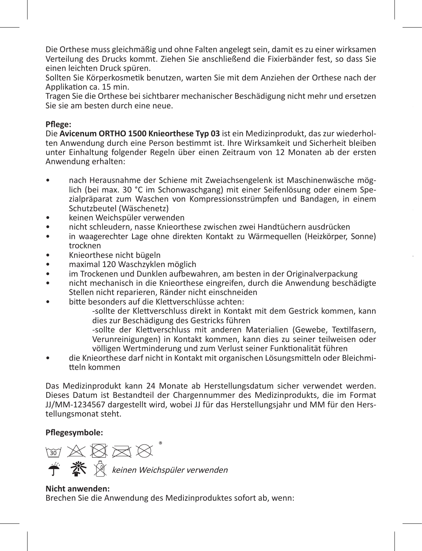Die Orthese muss gleichmäßig und ohne Falten angelegt sein, damit es zu einer wirksamen Verteilung des Drucks kommt. Ziehen Sie anschließend die Fixierbänder fest, so dass Sie einen leichten Druck spüren.

Sollten Sie Körperkosmetik benutzen, warten Sie mit dem Anziehen der Orthese nach der Applikation ca. 15 min.

Tragen Sie die Orthese bei sichtbarer mechanischer Beschädigung nicht mehr und ersetzen Sie sie am besten durch eine neue.

# **Pflege:**

Die **Avicenum ORTHO 1500 Knieorthese Typ 03** ist ein Medizinprodukt, das zur wiederholten Anwendung durch eine Person bestimmt ist. Ihre Wirksamkeit und Sicherheit bleiben unter Einhaltung folgender Regeln über einen Zeitraum von 12 Monaten ab der ersten Anwendung erhalten:

- nach Herausnahme der Schiene mit Zweiachsengelenk ist Maschinenwäsche möglich (bei max. 30 °C im Schonwaschgang) mit einer Seifenlösung oder einem Spezialpräparat zum Waschen von Kompressionsstrümpfen und Bandagen, in einem Schutzbeutel (Wäschenetz)
- keinen Weichspüler verwenden
- nicht schleudern, nasse Knieorthese zwischen zwei Handtüchern ausdrücken
- in waagerechter Lage ohne direkten Kontakt zu Wärmequellen (Heizkörper, Sonne) trocknen
- Knieorthese nicht bügeln
- maximal 120 Waschzyklen möglich
- im Trockenen und Dunklen aufbewahren, am besten in der Originalverpackung
- nicht mechanisch in die Knieorthese eingreifen, durch die Anwendung beschädigte Stellen nicht reparieren, Ränder nicht einschneiden
- bitte besonders auf die Klettverschlüsse achten:

-sollte der Klettverschluss direkt in Kontakt mit dem Gestrick kommen, kann dies zur Beschädigung des Gestricks führen

**Jedwedes schwerwiegende unerwünschte Vorkommnis, zu dem es im Zusammenhang** 

-sollte der Klettverschluss mit anderen Materialien (Gewebe, Textilfasern, Verunreinigungen) in Kontakt kommen, kann dies zu seiner teilweisen oder völligen Wertminderung und zum Verlust seiner Funktionalität führen

• die Knieorthese darf nicht in Kontakt mit organischen Lösungsmitteln oder Bleichmitteln kommen

Das Medizinprodukt kann 24 Monate ab Herstellungsdatum sicher verwendet werden. Dieses Datum ist Bestandteil der Chargennummer des Medizinprodukts, die im Format JJ/MM-1234567 dargestellt wird, wobei JJ für das Herstellungsjahr und MM für den Herstellungsmonat steht.

# **Pflegesymbole:**

**M A 图 M &** keinen Weichspüler verwenden

# **Nicht anwenden:** Brechen Sie die Anwendung des Medizinproduktes sofort ab, wenn: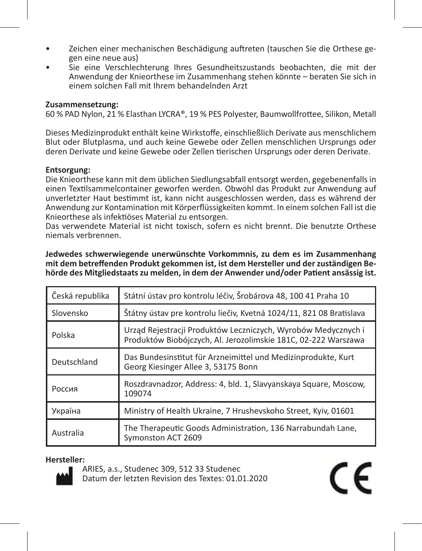- Zeichen einer mechanischen Beschädigung auftreten (tauschen Sie die Orthese gegen eine neue aus)
- Sie eine Verschlechterung Ihres Gesundheitszustands beobachten, die mit der Anwendung der Knieorthese im Zusammenhang stehen könnte – beraten Sie sich in einem solchen Fall mit Ihrem behandelnden Arzt

#### **Zusammensetzung:**

60 % PAD Nylon, 21 % Elasthan LYCRA®, 19 % PES Polyester, Baumwollfrottee, Silikon, Metall

Dieses Medizinprodukt enthält keine Wirkstoffe, einschließlich Derivate aus menschlichem Blut oder Blutplasma, und auch keine Gewebe oder Zellen menschlichen Ursprungs oder deren Derivate und keine Gewebe oder Zellen tierischen Ursprungs oder deren Derivate.

# **Entsorgung:**

Die Knieorthese kann mit dem üblichen Siedlungsabfall entsorgt werden, gegebenenfalls in einen Textilsammelcontainer geworfen werden. Obwohl das Produkt zur Anwendung auf unverletzter Haut bestimmt ist, kann nicht ausgeschlossen werden, dass es während der Anwendung zur Kontamination mit Körperflüssigkeiten kommt. In einem solchen Fall ist die Knieorthese als infektiöses Material zu entsorgen.

Das verwendete Material ist nicht toxisch, sofern es nicht brennt. Die benutzte Orthese niemals verbrennen.

| Česká republika                                                                                                                           | Státní ústav pro kontrolu léčiv, Šrobárova 48, 100 41 Praha 10                    |  |
|-------------------------------------------------------------------------------------------------------------------------------------------|-----------------------------------------------------------------------------------|--|
| Štátny ústav pre kontrolu liečiv, Kvetná 1024/11, 821 08 Bratislava<br>Slovensko                                                          |                                                                                   |  |
| Urząd Rejestracji Produktów Leczniczych, Wyrobów Medycznych i<br>Polska<br>Produktów Biobójczych, Al. Jerozolimskie 181C, 02-222 Warszawa |                                                                                   |  |
| Das Bundesinstitut für Arzneimittel und Medizinprodukte, Kurt<br>Deutschland<br>Georg Kiesinger Allee 3, 53175 Bonn                       |                                                                                   |  |
| Roszdravnadzor, Address: 4, bld. 1, Slavyanskaya Square, Moscow,<br>Россия<br>109074                                                      |                                                                                   |  |
| Ministry of Health Ukraine, 7 Hrushevskoho Street, Kyiv, 01601<br>Україна                                                                 |                                                                                   |  |
| Australia                                                                                                                                 | The Therapeutic Goods Administration, 136 Narrabundah Lane,<br>Symonston ACT 2609 |  |

C E

**Jedwedes schwerwiegende unerwünschte Vorkommnis, zu dem es im Zusammenhang mit dem betreffenden Produkt gekommen ist, ist dem Hersteller und der zuständigen Behörde des Mitgliedstaats zu melden, in dem der Anwender und/oder Patient ansässig ist.**

#### **Hersteller:**



ARIES, a.s., Studenec 309, 512 33 Studenec Datum der letzten Revision des Textes: 01.01.2020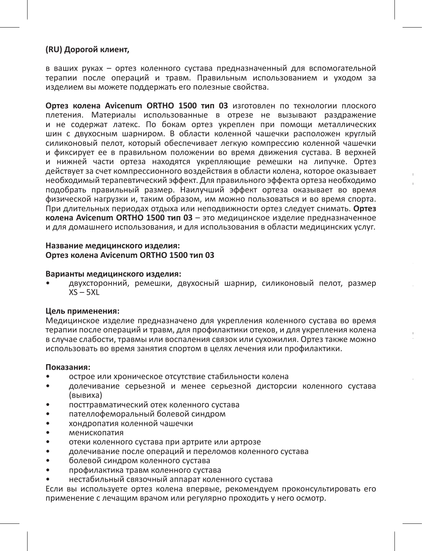#### **(RU) Дорогой клиент,**

в ваших руках – ортез коленного сустава предназначенный для вспомогательной терапии после операций и травм. Правильным использованием и уходом за изделием вы можете поддержать его полезные свойства.

**Ортез колена Avicenum ORTHO 1500 тип 03** изготовлен по технологии плоского плетения. Материалы использованные в отрезе не вызывают раздражение и не содержат латекс. По бокам ортез укреплен при помощи металлических шин с двухосным шарниром. В области коленной чашечки расположен круглый силиконовый пелот, который обеспечивает легкую компрессию коленной чашечки и фиксирует ее в правильном положении во время движения сустава. В верхней и нижней части ортеза находятся укрепляющие ремешки на липучке. Ортез действует за счет компрессионного воздействия в области колена, которое оказывает необходимый терапевтический эффект. Для правильного эффекта ортеза необходимо подобрать правильный размер. Наилучший эффект ортеза оказывает во время физической нагрузки и, таким образом, им можно пользоваться и во время спорта. При длительных периодах отдыха или неподвижности ортез следует снимать. **Ортез колена Avicenum ORTHO 1500 тип 03** – это медицинское изделие предназначенное и для домашнего использования, и для использования в области медицинских услуг.

**Для кого предназначен ортез:** 

Для пациентов с нестабильным коленным суставом, для терапии после травм

Для правильного эффекта ортеза необходимо подобрать правильный размер. Для

#### **Название медицинского изделия: Ортез колена Avicenum ORTHO 1500 тип 03**

#### **Варианты медицинского изделия:**

• двухсторонний, ремешки, двухосный шарнир, силиконовый пелот, размер  $XS - 5XL$ 

#### **Цель применения:**

Медицинское изделие предназначено для укрепления коленного сустава во время терапии после операций и травм, для профилактики отеков, и для укрепления колена в случае слабости, травмы или воспаления связок или сухожилия. Ортез также можно использовать во время занятия спортом в целях лечения или профилактики.

#### **Показания:**

- острое или хроническое отсутствие стабильности колена
- долечивание серьезной и менее серьезной дисторсии коленного сустава (вывиха)
- посттравматический отек коленного сустава
- пателлофеморальный болевой синдром
- хондропатия коленной чашечки
- менископатия
- отеки коленного сустава при артрите или артрозе
- долечивание после операций и переломов коленного сустава
- болевой синдром коленного сустава
- профилактика травм коленного сустава
- нестабильный связочный аппарат коленного сустава

Если вы используете ортез колена впервые, рекомендуем проконсультировать его применение с лечащим врачом или регулярно проходить у него осмотр.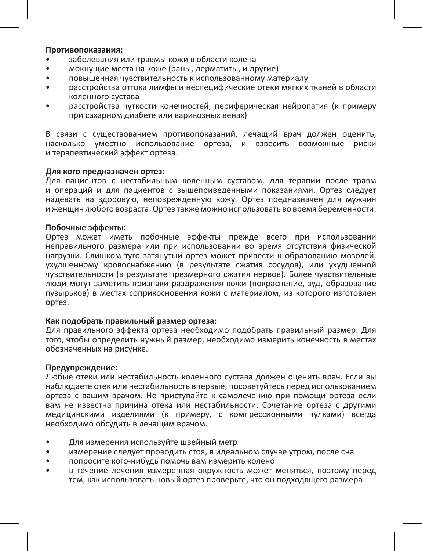#### **Противопоказания:**

- заболевания или травмы кожи в области колена
- мокнущие места на коже (раны, дерматиты, и другие)
- повышенная чувствительность к использованному материалу
- расстройства оттока лимфы и неспецифические отеки мягких тканей в области коленного сустава
- расстройства чуткости конечностей, периферическая нейропатия (к примеру при сахарном диабете или варикозных венах)

В связи с существованием противопоказаний, лечащий врач должен оценить, насколько уместно использование ортеза, и взвесить возможные риски и терапевтический эффект ортеза.

# **Для кого предназначен ортез:**

Для пациентов с нестабильным коленным суставом, для терапии после травм и операций и для пациентов с вышеприведенными показаниями. Ортез следует надевать на здоровую, неповрежденную кожу. Ортез предназначен для мужчин и женщин любого возраста. Ортез также можно использовать во время беременности.

#### **Побочные эффекты:**

Ортез может иметь побочные эффекты прежде всего при использовании неправильного размера или при использовании во время отсутствия физической нагрузки. Слишком туго затянутый ортез может привести к образованию мозолей, ухудшенному кровоснабжению (в результате сжатия сосудов), или ухудшенной чувствительности (в результате чрезмерного сжатия нервов). Более чувствительные люди могут заметить признаки раздражения кожи (покраснение, зуд, образование пузырьков) в местах соприкосновения кожи с материалом, из которого изготовлен ортез.

#### **Как подобрать правильный размер ортеза:**

Для правильного эффекта ортеза необходимо подобрать правильный размер. Для того, чтобы определить нужный размер, необходимо измерить конечность в местах обозначенных на рисунке.

#### **Предупреждение:**

Любые отеки или нестабильность коленного сустава должен оценить врач. Если вы наблюдаете отек или нестабильность впервые, посоветуйтесь перед использованием ортеза с вашим врачом. Не приступайте к самолечению при помощи ортеза если вам не известна причина отека или нестабильности. Сочетание ортеза с другими медицинскими изделиями (к примеру, с компрессионными чулками) всегда необходимо обсудить в лечащим врачом.

- Для измерения используйте швейный метр
- измерение следует проводить стоя, в идеальном случае утром, после сна
- попросите кого-нибудь помочь вам измерить колено
- в течение лечения измеренная окружность может меняться, поэтому перед тем, как использовать новый ортез проверьте, что он подходящего размера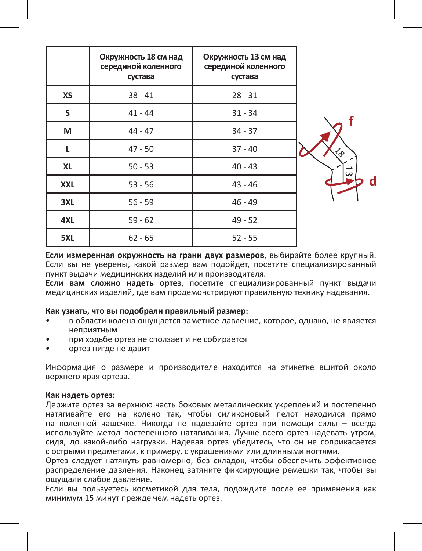|            | Окружность 18 см над<br>серединой коленного<br>сустава | Окружность 13 см над<br>серединой коленного<br>сустава |    |
|------------|--------------------------------------------------------|--------------------------------------------------------|----|
| XS         | $38 - 41$                                              | $28 - 31$                                              |    |
| S          | $41 - 44$                                              | $31 - 34$                                              |    |
| м          | $44 - 47$                                              | $34 - 37$                                              |    |
| L          | $47 - 50$                                              | $37 - 40$                                              |    |
| <b>XL</b>  | $50 - 53$                                              | $40 - 43$                                              | 53 |
| <b>XXL</b> | $53 - 56$                                              | $43 - 46$                                              | d  |
| 3XL        | $56 - 59$                                              | $46 - 49$                                              |    |
| 4XL        | $59 - 62$                                              | $49 - 52$                                              |    |
| 5XL        | $62 - 65$                                              | $52 - 55$                                              |    |

**Если измеренная окружность на грани двух размеров**, выбирайте более крупный. Если вы не уверены, какой размер вам подойдет, посетите специализированный пункт выдачи медицинских изделий или производителя.

**Если вам сложно надеть ортез**, посетите специализированный пункт выдачи медицинских изделий, где вам продемонстрируют правильную технику надевания.

#### **Как узнать, что вы подобрали правильный размер:**

- в области колена ощущается заметное давление, которое, однако, не является неприятным
- при ходьбе ортез не сползает и не собирается
- ортез нигде не давит

Информация о размере и производителе находится на этикетке вшитой около верхнего края ортеза.

#### **Как надеть ортез:**

Держите ортез за верхнюю часть боковых металлических укреплений и постепенно натягивайте его на колено так, чтобы силиконовый пелот находился прямо на коленной чашечке. Никогда не надевайте ортез при помощи силы – всегда используйте метод постепенного натягивания. Лучше всего ортез надевать утром, сидя, до какой-либо нагрузки. Надевая ортез убедитесь, что он не соприкасается с острыми предметами, к примеру, с украшениями или длинными ногтями.

Ортез следует натянуть равномерно, без складок, чтобы обеспечить эффективное распределение давления. Наконец затяните фиксирующие ремешки так, чтобы вы ощущали слабое давление.

Если вы пользуетесь косметикой для тела, подождите после ее применения как минимум 15 минут прежде чем надеть ортез.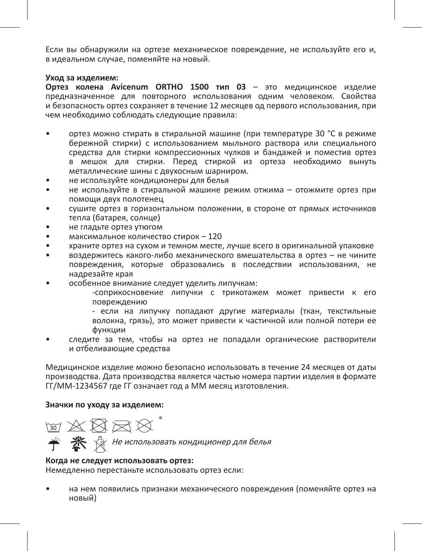Если вы обнаружили на ортезе механическое повреждение, не используйте его и, в идеальном случае, поменяйте на новый.

#### **Уход за изделием:**

**Ортез колена Avicenum ORTHO 1500 тип 03** – это медицинское изделие предназначенное для повторного использования одним человеком. Свойства и безопасность ортез сохраняет в течение 12 месяцев од первого использования, при чем необходимо соблюдать следующие правила:

- ортез можно стирать в стиральной машине (при температуре 30 °C в режиме бережной стирки) с использованием мыльного раствора или специального средства для стирки компрессионных чулков и бандажей и поместив ортез в мешок для стирки. Перед стиркой из ортеза необходимо вынуть металлические шины с двухосным шарниром.
- не используйте кондиционеры для белья
- не используйте в стиральной машине режим отжима отожмите ортез при помощи двух полотенец
- сушите ортез в горизонтальном положении, в стороне от прямых источников тепла (батарея, солнце)
- не гладьте ортез утюгом
- максимальное количество стирок 120
- храните ортез на сухом и темном месте, лучше всего в оригинальной упаковке
- воздержитесь какого-либо механического вмешательства в ортез не чините повреждения, которые образовались в последствии использования, не надрезайте края
- особенное внимание следует уделить липучкам:
	- -соприкосновение липучки с трикотажем может привести к его повреждению
	- если на липучку попадают другие материалы (ткан, текстильные волокна, грязь), это может привести к частичной или полной потери ее функции
- следите за тем, чтобы на ортез не попадали органические растворители и отбеливающие средства

Медицинское изделие можно безопасно использовать в течение 24 месяцев от даты производства. Дата производства является частью номера партии изделия в формате ГГ/ММ-1234567 где ГГ означает год а ММ месяц изготовления.

#### **Значки по уходу за изделием:**



#### **Когда не следует использовать ортез:**

Немедленно перестаньте использовать ортез если:

• на нем появились признаки механического повреждения (поменяйте ортез на новый)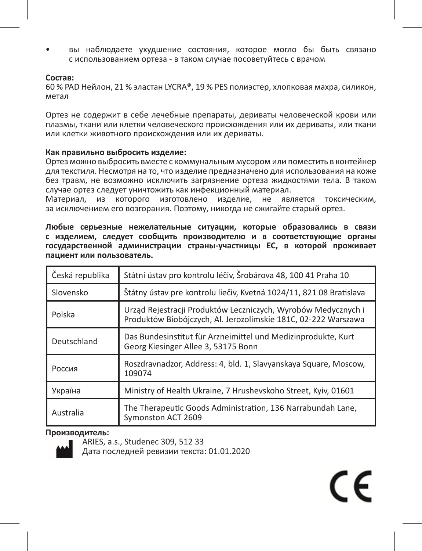• вы наблюдаете ухудшение состояния, которое могло бы быть связано с использованием ортеза - в таком случае посоветуйтесь с врачом

#### **Состав:**

60 % PAD Нейлон, 21 % эластан LYCRA®, 19 % PES полиэстер, хлопковая махра, силикон, метал

Ортез не содержит в себе лечебные препараты, дериваты человеческой крови или плазмы, ткани или клетки человеческого происхождения или их дериваты, или ткани или клетки животного происхождения или их дериваты.

#### **Как правильно выбросить изделие:**

Ортез можно выбросить вместе с коммунальным мусором или поместить в контейнер для текстиля. Несмотря на то, что изделие предназначено для использования на коже без травм, не возможно исключить загрязнение ортеза жидкостями тела. В таком случае ортез следует уничтожить как инфекционный материал.

Материал, из которого изготовлено изделие, не является токсическим, за исключением его возгорания. Поэтому, никогда не сжигайте старый ортез.

**Любые серьезные нежелательные ситуации, которые образовались в связи с изделием, следует сообщить производителю и в соответствующие органы государственной администрации страны-участницы ЕС, в которой проживает пациент или пользователь.**

| Česká republika | Státní ústav pro kontrolu léčiv, Šrobárova 48, 100 41 Praha 10                                                                  |  |
|-----------------|---------------------------------------------------------------------------------------------------------------------------------|--|
| Slovensko       | Štátny ústav pre kontrolu liečiv, Kvetná 1024/11, 821 08 Bratislava                                                             |  |
| Polska          | Urząd Rejestracji Produktów Leczniczych, Wyrobów Medycznych i<br>Produktów Biobójczych, Al. Jerozolimskie 181C, 02-222 Warszawa |  |
| Deutschland     | Das Bundesinstitut für Arzneimittel und Medizinprodukte. Kurt<br>Georg Kiesinger Allee 3, 53175 Bonn                            |  |
| Россия          | Roszdravnadzor, Address: 4, bld. 1, Slavyanskaya Square, Moscow,<br>109074                                                      |  |
| Україна         | Ministry of Health Ukraine, 7 Hrushevskoho Street, Kyiv, 01601                                                                  |  |
| Australia       | The Therapeutic Goods Administration, 136 Narrabundah Lane,<br>Symonston ACT 2609                                               |  |

 $\epsilon$ 

#### **Производитель:**



ARIES, a.s., Studenec 309, 512 33

Дата последней ревизии текста: 01.01.2020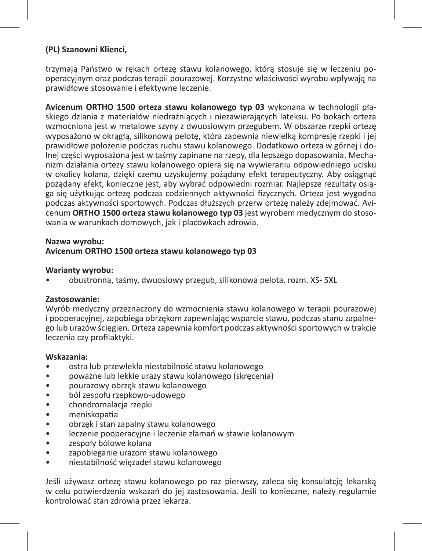# **(PL) Szanowni Klienci,**

trzymają Państwo w rękach ortezę stawu kolanowego, którą stosuje się w leczeniu pooperacyjnym oraz podczas terapii pourazowej. Korzystne właściwości wyrobu wpływają na prawidłowe stosowanie i efektywne leczenie.

**Avicenum ORTHO 1500 orteza stawu kolanowego typ 03** wykonana w technologii płaskiego dziania z materiałów niedrażniących i niezawierających lateksu. Po bokach orteza wzmocniona jest w metalowe szyny z dwuosiowym przegubem. W obszarze rzepki ortezę wyposażono w okrągłą, silikonową pelotę, która zapewnia niewielką kompresję rzepki i jej prawidłowe położenie podczas ruchu stawu kolanowego. Dodatkowo orteza w górnej i dolnej części wyposażona jest w taśmy zapinane na rzepy, dla lepszego dopasowania. Mechanizm działania ortezy stawu kolanowego opiera się na wywieraniu odpowiedniego ucisku w okolicy kolana, dzięki czemu uzyskujemy pożądany efekt terapeutyczny. Aby osiągnąć pożądany efekt, konieczne jest, aby wybrać odpowiedni rozmiar. Najlepsze rezultaty osiąga się użytkując ortezę podczas codziennych aktywności fizycznych. Orteza jest wygodna podczas aktywności sportowych. Podczas dłuższych przerw ortezę należy zdejmować. Avicenum **ORTHO 1500 orteza stawu kolanowego typ 03** jest wyrobem medycznym do stosowania w warunkach domowych, jak i placówkach zdrowia.

#### **Nazwa wyrobu:**

## **Avicenum ORTHO 1500 orteza stawu kolanowego typ 03**

#### **Warianty wyrobu:**

• obustronna, taśmy, dwuosiowy przegub, silikonowa pelota, rozm. XS- 5XL

# **Zastosowanie:**

Wyrób medyczny przeznaczony do wzmocnienia stawu kolanowego w terapii pourazowej i pooperacyjnej, zapobiega obrzękom zapewniając wsparcie stawu, podczas stanu zapalnego lub urazów ścięgien. Orteza zapewnia komfort podczas aktywności sportowych w trakcie leczenia czy profilaktyki.

#### **Wskazania:**

- ostra lub przewlekła niestabilność stawu kolanowego
- poważne lub lekkie urazy stawu kolanowego (skręcenia)
- pourazowy obrzęk stawu kolanowego
- ból zespołu rzepkowo-udowego
- chondromalacja rzepki
- meniskopatia
- obrzęk i stan zapalny stawu kolanowego
- leczenie pooperacyjne i leczenie złamań w stawie kolanowym
- zespoły bólowe kolana
- zapobieganie urazom stawu kolanowego
- niestabilność więzadeł stawu kolanowego

Jeśli używasz ortezę stawu kolanowego po raz pierwszy, zaleca się konsulatcję lekarską w celu potwierdzenia wskazań do jej zastosowania. Jeśli to konieczne, należy regularnie kontrolować stan zdrowia przez lekarza.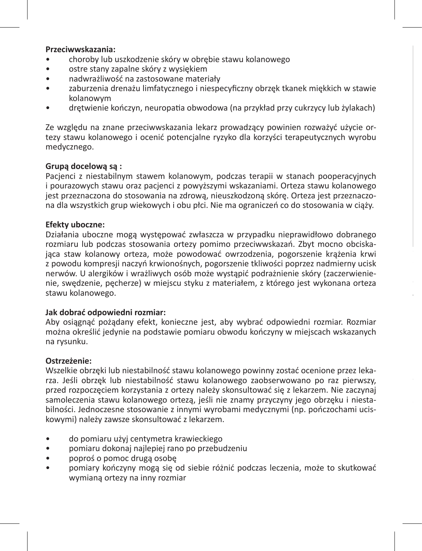#### **Przeciwwskazania:**

- choroby lub uszkodzenie skóry w obrębie stawu kolanowego
- ostre stany zapalne skóry z wysiękiem
- nadwrażliwość na zastosowane materiały
- zaburzenia drenażu limfatycznego i niespecyficzny obrzęk tkanek miękkich w stawie kolanowym
- drętwienie kończyn, neuropatia obwodowa (na przykład przy cukrzycy lub żylakach)

Ze względu na znane przeciwwskazania lekarz prowadzący powinien rozważyć użycie ortezy stawu kolanowego i ocenić potencjalne ryzyko dla korzyści terapeutycznych wyrobu medycznego.

# **Grupą docelową są :**

Pacjenci z niestabilnym stawem kolanowym, podczas terapii w stanach pooperacyjnych i pourazowych stawu oraz pacjenci z powyższymi wskazaniami. Orteza stawu kolanowego jest przeznaczona do stosowania na zdrową, nieuszkodzoną skórę. Orteza jest przeznaczona dla wszystkich grup wiekowych i obu płci. Nie ma ograniczeń co do stosowania w ciąży.

#### **Efekty uboczne:**

Działania uboczne mogą występować zwłaszcza w przypadku nieprawidłowo dobranego rozmiaru lub podczas stosowania ortezy pomimo przeciwwskazań. Zbyt mocno obciskająca staw kolanowy orteza, może powodować owrzodzenia, pogorszenie krążenia krwi z powodu kompresji naczyń krwionośnych, pogorszenie tkliwości poprzez nadmierny ucisk nerwów. U alergików i wrażliwych osób może wystąpić podrażnienie skóry (zaczerwienienie, swędzenie, pęcherze) w miejscu styku z materiałem, z którego jest wykonana orteza stawu kolanowego.

**Jeśli orteza stawu kolanowego ciężko się zakłada**, odwiedź specjalistyczny sklep medyczny

#### **Jak dobrać odpowiedni rozmiar:**

Aby osiągnąć pożądany efekt, konieczne jest, aby wybrać odpowiedni rozmiar. Rozmiar można określić jedynie na podstawie pomiaru obwodu kończyny w miejscach wskazanych na rysunku.

#### **Ostrzeżenie:**

Wszelkie obrzęki lub niestabilność stawu kolanowego powinny zostać ocenione przez lekarza. Jeśli obrzęk lub niestabilność stawu kolanowego zaobserwowano po raz pierwszy, przed rozpoczęciem korzystania z ortezy należy skonsultować się z lekarzem. Nie zaczynaj samoleczenia stawu kolanowego ortezą, jeśli nie znamy przyczyny jego obrzęku i niestabilności. Jednoczesne stosowanie z innymi wyrobami medycznymi (np. pończochami uciskowymi) należy zawsze skonsultować z lekarzem.

- do pomiaru użyj centymetra krawieckiego
- pomiaru dokonaj najlepiej rano po przebudzeniu
- poproś o pomoc drugą osobę
- pomiary kończyny mogą się od siebie różnić podczas leczenia, może to skutkować wymianą ortezy na inny rozmiar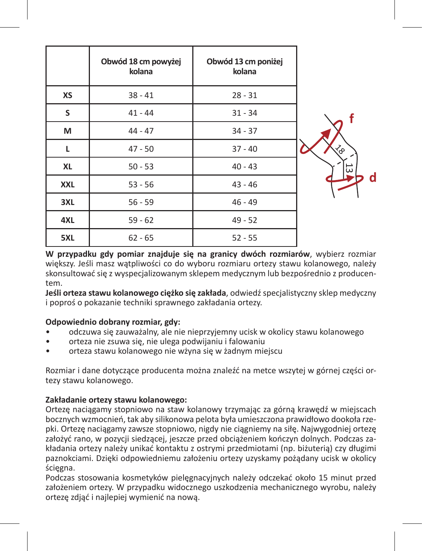|            | Obwód 18 cm powyżej<br>kolana | Obwód 13 cm poniżej<br>kolana |     |
|------------|-------------------------------|-------------------------------|-----|
| XS         | $38 - 41$                     | $28 - 31$                     |     |
| S          | $41 - 44$                     | $31 - 34$                     |     |
| м          | $44 - 47$                     | $34 - 37$                     |     |
| L          | $47 - 50$                     | $37 - 40$                     |     |
| <b>XL</b>  | $50 - 53$                     | $40 - 43$                     | ن ن |
| <b>XXL</b> | $53 - 56$                     | $43 - 46$                     |     |
| 3XL        | $56 - 59$                     | $46 - 49$                     |     |
| 4XL        | $59 - 62$                     | $49 - 52$                     |     |
| 5XL        | $62 - 65$                     | $52 - 55$                     |     |

**d**

**W przypadku gdy pomiar znajduje się na granicy dwóch rozmiarów**, wybierz rozmiar większy. Jeśli masz watpliwości co do wyboru rozmiaru ortezy stawu kolanowego, należy skonsultować się z wyspecjalizowanym sklepem medycznym lub bezpośrednio z producentem.

**Jeśli orteza stawu kolanowego ciężko się zakłada**, odwiedź specjalistyczny sklep medyczny i poproś o pokazanie techniki sprawnego zakładania ortezy.

## **Odpowiednio dobrany rozmiar, gdy:**

- odczuwa się zauważalny, ale nie nieprzyjemny ucisk w okolicy stawu kolanowego
- orteza nie zsuwa się, nie ulega podwijaniu i falowaniu
- orteza stawu kolanowego nie wżyna się w żadnym miejscu

Rozmiar i dane dotyczące producenta można znaleźć na metce wszytej w górnej części ortezy stawu kolanowego.

# **Zakładanie ortezy stawu kolanowego:**

Ortezę naciągamy stopniowo na staw kolanowy trzymając za górną krawędź w miejscach bocznych wzmocnień, tak aby silikonowa pelota była umieszczona prawidłowo dookoła rzepki. Ortezę naciągamy zawsze stopniowo, nigdy nie ciągniemy na siłę. Najwygodniej ortezę założyć rano, w pozycji siedzącej, jeszcze przed obciążeniem kończyn dolnych. Podczas zakładania ortezy należy unikać kontaktu z ostrymi przedmiotami (np. biżuterią) czy długimi paznokciami. Dzięki odpowiedniemu założeniu ortezy uzyskamy pożądany ucisk w okolicy ścięgna.

Podczas stosowania kosmetyków pielęgnacyjnych należy odczekać około 15 minut przed założeniem ortezy. W przypadku widocznego uszkodzenia mechanicznego wyrobu, należy ortezę zdjąć i najlepiej wymienić na nową.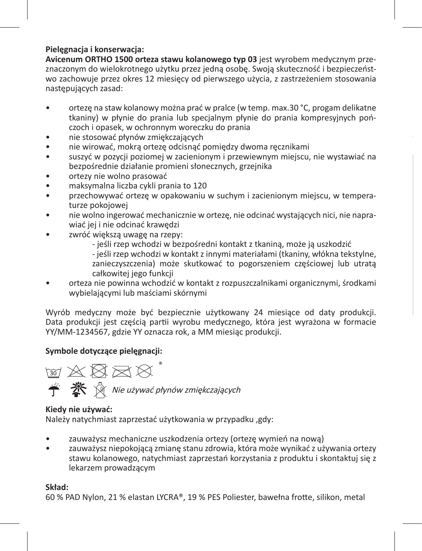# **Pielęgnacja i konserwacja:**

**Avicenum ORTHO 1500 orteza stawu kolanowego typ 03** jest wyrobem medycznym przeznaczonym do wielokrotnego użytku przez jedną osobę. Swoją skuteczność i bezpieczeństwo zachowuje przez okres 12 miesięcy od pierwszego użycia, z zastrzeżeniem stosowania następujących zasad:

- ortezę na staw kolanowy można prać w pralce (w temp. max.30 °C, progam delikatne tkaniny) w płynie do prania lub specjalnym płynie do prania kompresyjnych pończoch i opasek, w ochronnym woreczku do prania
- nie stosować płynów zmiękczających
- nie wirować, mokrą ortezę odcisnąć pomiędzy dwoma ręcznikami
- suszyć w pozycji poziomej w zacienionym i przewiewnym miejscu, nie wystawiać na bezpośrednie działanie promieni słonecznych, grzejnika
- ortezy nie wolno prasować
- maksymalna liczba cykli prania to 120
- przechowywać ortezę w opakowaniu w suchym i zacienionym miejscu, w temperaturze pokojowej
- nie wolno ingerować mechanicznie w ortezę, nie odcinać wystających nici, nie naprawiać jej i nie odcinać krawędzi
- zwróć większą uwagę na rzepy:
	- jeśli rzep wchodzi w bezpośredni kontakt z tkaniną, może ją uszkodzić
	- jeśli rzep wchodzi w kontakt z innymi materiałami (tkaniny, włókna tekstylne, zanieczyszczenia) może skutkować to pogorszeniem częściowej lub utratą całkowitej jego funkcji
- orteza nie powinna wchodzić w kontakt z rozpuszczalnikami organicznymi, środkami wybielającymi lub maściami skórnymi

Wyrób medyczny może być bezpiecznie użytkowany 24 miesiące od daty produkcji. Data produkcji jest częścią partii wyrobu medycznego, która jest wyrażona w formacie YY/MM-1234567, gdzie YY oznacza rok, a MM miesiąc produkcji.

# **Symbole dotyczące pielęgnacji:**



## **Kiedy nie używać:**

Należy natychmiast zaprzestać użytkowania w przypadku ,gdy:

- zauważysz mechaniczne uszkodzenia ortezy (ortezę wymień na nową)
- zauważysz niepokojącą zmianę stanu zdrowia, która może wynikać z używania ortezy stawu kolanowego, natychmiast zaprzestań korzystania z produktu i skontaktuj się z lekarzem prowadzącym

# **Skład:**

60 % PAD Nylon, 21 % elastan LYCRA®, 19 % PES Poliester, bawełna frotte, silikon, metal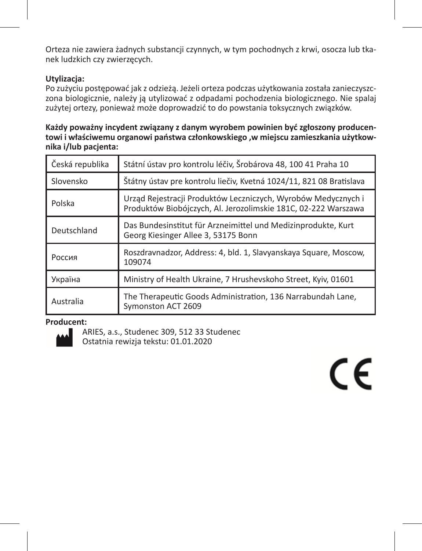Orteza nie zawiera żadnych substancji czynnych, w tym pochodnych z krwi, osocza lub tkanek ludzkich czy zwierzęcych.

# **Utylizacja:**

Po zużyciu postępować jak z odzieżą. Jeżeli orteza podczas użytkowania została zanieczyszczona biologicznie, należy ją utylizować z odpadami pochodzenia biologicznego. Nie spalaj zużytej ortezy, ponieważ może doprowadzić to do powstania toksycznych związków.

# **Każdy poważny incydent związany z danym wyrobem powinien być zgłoszony producentowi i właściwemu organowi państwa członkowskiego ,w miejscu zamieszkania użytkownika i/lub pacjenta:**

| Česká republika                                                                                                                           | Státní ústav pro kontrolu léčiv, Šrobárova 48, 100 41 Praha 10                                       |  |
|-------------------------------------------------------------------------------------------------------------------------------------------|------------------------------------------------------------------------------------------------------|--|
| Štátny ústav pre kontrolu liečiv, Kvetná 1024/11, 821 08 Bratislava<br>Slovensko                                                          |                                                                                                      |  |
| Urząd Rejestracji Produktów Leczniczych, Wyrobów Medycznych i<br>Polska<br>Produktów Biobójczych, Al. Jerozolimskie 181C, 02-222 Warszawa |                                                                                                      |  |
| Deutschland                                                                                                                               | Das Bundesinstitut für Arzneimittel und Medizinprodukte, Kurt<br>Georg Kiesinger Allee 3, 53175 Bonn |  |
| Roszdravnadzor, Address: 4, bld. 1, Slavyanskaya Square, Moscow,<br>Россия<br>109074                                                      |                                                                                                      |  |
| Україна                                                                                                                                   | Ministry of Health Ukraine, 7 Hrushevskoho Street, Kyiv, 01601                                       |  |
| Australia                                                                                                                                 | The Therapeutic Goods Administration, 136 Narrabundah Lane,<br>Symonston ACT 2609                    |  |

# **Producent:**



ARIES, a.s., Studenec 309, 512 33 Studenec Ostatnia rewizja tekstu: 01.01.2020

# CE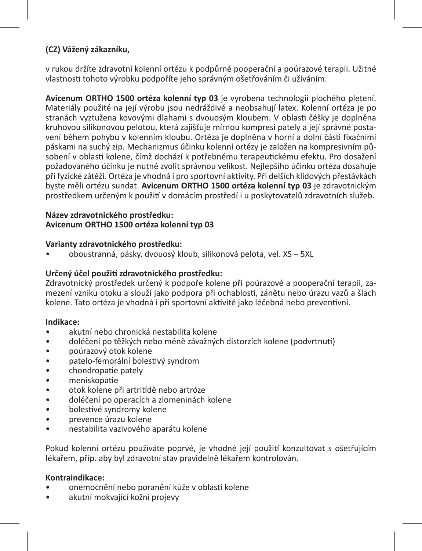# **(CZ) Vážený zákazníku,**

v rukou držíte zdravotní kolenní ortézu k podpůrné pooperační a poúrazové terapii. Užitné vlastnosti tohoto výrobku podpoříte jeho správným ošetřováním či užíváním.

**Avicenum ORTHO 1500 ortéza kolenní typ 03** je vyrobena technologií plochého pletení. Materiály použité na její výrobu jsou nedráždivé a neobsahují latex. Kolenní ortéza je po stranách vyztužena kovovými dlahami s dvouosým kloubem. V oblasti čéšky je doplněna kruhovou silikonovou pelotou, která zajišťuje mírnou kompresi pately a její správné postavení během pohybu v kolenním kloubu. Ortéza je doplněna v horní a dolní části fixačními páskami na suchý zip. Mechanizmus účinku kolenní ortézy je založen na kompresivním působení v oblasti kolene, čímž dochází k potřebnému terapeutickému efektu. Pro dosažení požadovaného účinku je nutné zvolit správnou velikost. Nejlepšího účinku ortéza dosahuje při fyzické zátěži. Ortéza je vhodná i pro sportovní aktivity. Při delších klidových přestávkách byste měli ortézu sundat. **Avicenum ORTHO 1500 ortéza kolenní typ 03** je zdravotnickým prostředkem určeným k použití v domácím prostředí i u poskytovatelů zdravotních služeb.

# **Název zdravotnického prostředku: Avicenum ORTHO 1500 ortéza kolenní typ 03**

## **Varianty zdravotnického prostředku:**

• oboustranná, pásky, dvouosý kloub, silikonová pelota, vel. XS – 5XL

# **Určený účel použití zdravotnického prostředku:**

Zdravotnický prostředek určený k podpoře kolene při poúrazové a pooperační terapii, zamezení vzniku otoku a slouží jako podpora při ochablosti, zánětu nebo úrazu vazů a šlach kolene. Tato ortéza je vhodná i při sportovní aktivitě jako léčebná nebo preventivní.

**Jak zvolit správnou velikost kolenní ortézy:**

## **Indikace:**

- akutní nebo chronická nestabilita kolene
- doléčení po těžkých nebo méně závažných distorzích kolene (podvrtnutí)
- poúrazový otok kolene
- patelo-femorální bolestivý syndrom
- chondropatie pately
- meniskopatie
- otok kolene při artritídě nebo artróze
- doléčení po operacích a zlomeninách kolene<br>• bolestivé syndromy kolene
- bolestivé syndromy kolene
- prevence úrazu kolene
- nestabilita vazivového aparátu kolene

Pokud kolenní ortézu používáte poprvé, je vhodné její použití konzultovat s ošetřujícím lékařem, příp. aby byl zdravotní stav pravidelně lékařem kontrolován.

## **Kontraindikace:**

- onemocnění nebo poranění kůže v oblasti kolene
- akutní mokvající kožní projevy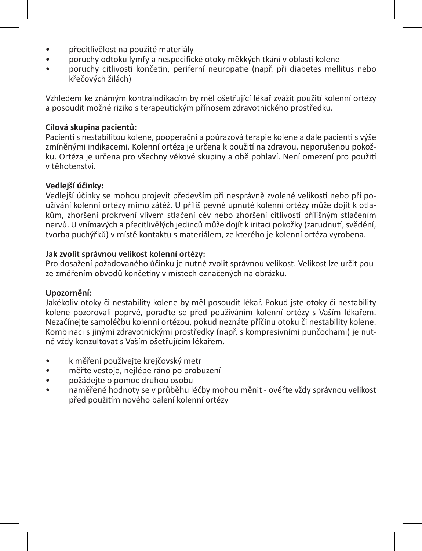- přecitlivělost na použité materiály
- poruchy odtoku lymfy a nespecifické otoky měkkých tkání v oblasti kolene
- poruchy citlivosti končetin, periferní neuropatie (např. při diabetes mellitus nebo křečových žilách)

Vzhledem ke známým kontraindikacím by měl ošetřující lékař zvážit použití kolenní ortézy a posoudit možné riziko s terapeutickým přínosem zdravotnického prostředku.

# **Cílová skupina pacientů:**

Pacienti s nestabilitou kolene, pooperační a poúrazová terapie kolene a dále pacienti s výše zmíněnými indikacemi. Kolenní ortéza je určena k použití na zdravou, neporušenou pokožku. Ortéza je určena pro všechny věkové skupiny a obě pohlaví. Není omezení pro použití v těhotenství.

# **Vedlejší účinky:**

Vedlejší účinky se mohou projevit především při nesprávně zvolené velikosti nebo při používání kolenní ortézy mimo zátěž. U příliš pevně upnuté kolenní ortézy může dojít k otlakům, zhoršení prokrvení vlivem stlačení cév nebo zhoršení citlivosti přílišným stlačením nervů. U vnímavých a přecitlivělých jedinců může dojít k iritaci pokožky (zarudnutí, svědění, tvorba puchýřků) v místě kontaktu s materiálem, ze kterého je kolenní ortéza vyrobena.

# **Jak zvolit správnou velikost kolenní ortézy:**

Pro dosažení požadovaného účinku je nutné zvolit správnou velikost. Velikost lze určit pouze změřením obvodů končetiny v místech označených na obrázku.

# **Upozornění:**

Jakékoliv otoky či nestability kolene by měl posoudit lékař. Pokud jste otoky či nestability kolene pozorovali poprvé, poraďte se před používáním kolenní ortézy s Vaším lékařem. Nezačínejte samoléčbu kolenní ortézou, pokud neznáte příčinu otoku či nestability kolene. Kombinaci s jinými zdravotnickými prostředky (např. s kompresivními punčochami) je nutné vždy konzultovat s Vaším ošetřujícím lékařem.

- k měření používejte krejčovský metr
- měřte vestoje, nejlépe ráno po probuzení
- požádejte o pomoc druhou osobu
- naměřené hodnoty se v průběhu léčby mohou měnit ověřte vždy správnou velikost před použitím nového balení kolenní ortézy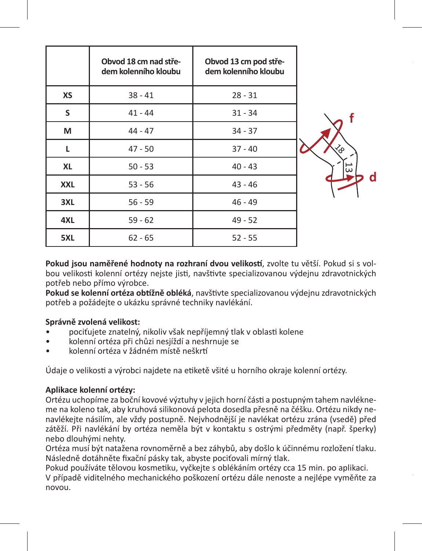|            | Obvod 18 cm nad stře-<br>dem kolenního kloubu | Obvod 13 cm pod stře-<br>dem kolenního kloubu |  |
|------------|-----------------------------------------------|-----------------------------------------------|--|
| XS         | $38 - 41$                                     | $28 - 31$                                     |  |
| s          | $41 - 44$                                     | $31 - 34$                                     |  |
| м          | $44 - 47$                                     | $34 - 37$                                     |  |
| L          | $47 - 50$                                     | $37 - 40$                                     |  |
| XL         | $50 - 53$                                     | $40 - 43$                                     |  |
| <b>XXL</b> | $53 - 56$                                     | $43 - 46$                                     |  |
| 3XL        | $56 - 59$                                     | $46 - 49$                                     |  |
| 4XL        | $59 - 62$                                     | $49 - 52$                                     |  |
| 5XL        | $62 - 65$                                     | $52 - 55$                                     |  |



**Pokud jsou naměřené hodnoty na rozhraní dvou velikostí**, zvolte tu větší. Pokud si s volbou velikosti kolenní ortézy nejste jisti, navštivte specializovanou výdejnu zdravotnických potřeb nebo přímo výrobce.

**Pokud se kolenní ortéza obtížně obléká**, navštivte specializovanou výdejnu zdravotnických potřeb a požádejte o ukázku správné techniky navlékání.

## **Správně zvolená velikost:**

- pociťujete znatelný, nikoliv však nepříjemný tlak v oblasti kolene
- kolenní ortéza při chůzi nesjíždí a neshrnuje se
- kolenní ortéza v žádném místě neškrtí

Údaje o velikosti a výrobci najdete na etiketě všité u horního okraje kolenní ortézy.

# **Aplikace kolenní ortézy:**

Ortézu uchopíme za boční kovové výztuhy v jejich horní části a postupným tahem navlékneme na koleno tak, aby kruhová silikonová pelota dosedla přesně na čéšku. Ortézu nikdy nenavlékejte násilím, ale vždy postupně. Nejvhodnější je navlékat ortézu zrána (vsedě) před zátěží. Při navlékání by ortéza neměla být v kontaktu s ostrými předměty (např. šperky) nebo dlouhými nehty.

Ortéza musí být natažena rovnoměrně a bez záhybů, aby došlo k účinnému rozložení tlaku. Následně dotáhněte fixační pásky tak, abyste pociťovali mírný tlak.

Pokud používáte tělovou kosmetiku, vyčkejte s oblékáním ortézy cca 15 min. po aplikaci. V případě viditelného mechanického poškození ortézu dále nenoste a nejlépe vyměňte za novou.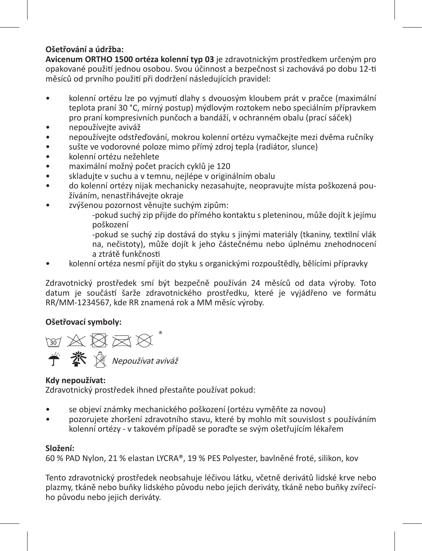# **Ošetřování a údržba:**

**Avicenum ORTHO 1500 ortéza kolenní typ 03** je zdravotnickým prostředkem určeným pro opakované použití jednou osobou. Svou účinnost a bezpečnost si zachovává po dobu 12-ti měsíců od prvního použití při dodržení následujících pravidel:

- kolenní ortézu lze po vyjmutí dlahy s dvouosým kloubem prát v pračce (maximální teplota praní 30 °C, mírný postup) mýdlovým roztokem nebo speciálním přípravkem pro praní kompresivních punčoch a bandáží, v ochranném obalu (prací sáček)
- nepoužívejte aviváž
- nepoužívejte odstřeďování, mokrou kolenní ortézu vymačkejte mezi dvěma ručníky
- sušte ve vodorovné poloze mimo přímý zdroj tepla (radiátor, slunce)
- kolenní ortézu nežehlete
- maximální možný počet pracích cyklů je 120
- skladujte v suchu a v temnu, nejlépe v originálním obalu
- do kolenní ortézy nijak mechanicky nezasahujte, neopravujte místa poškozená používáním, nenastřihávejte okraje
- zvýšenou pozornost věnujte suchým zipům:
	- -pokud suchý zip přijde do přímého kontaktu s pleteninou, může dojít k jejímu poškození
	- -pokud se suchý zip dostává do styku s jinými materiály (tkaniny, textilní vlák na, nečistoty), může dojít k jeho částečnému nebo úplnému znehodnocení a ztrátě funkčnosti
- kolenní ortéza nesmí přijít do styku s organickými rozpouštědly, bělícími přípravky

Zdravotnický prostředek smí být bezpečně používán 24 měsíců od data výroby. Toto datum je součástí šarže zdravotnického prostředku, které je vyjádřeno ve formátu RR/MM-1234567, kde RR znamená rok a MM měsíc výroby.

# **Ošetřovací symboly:**

网络皮肉 **个 茶** 《 Nepoužívat aviváž

# **Kdy nepoužívat:**

Zdravotnický prostředek ihned přestaňte používat pokud:

- se objeví známky mechanického poškození (ortézu vyměňte za novou)
- pozorujete zhoršení zdravotního stavu, které by mohlo mít souvislost s používáním kolenní ortézy - v takovém případě se poraďte se svým ošetřujícím lékařem

# **Složení:**

60 % PAD Nylon, 21 % elastan LYCRA®, 19 % PES Polyester, bavlněné froté, silikon, kov

Tento zdravotnický prostředek neobsahuje léčivou látku, včetně derivátů lidské krve nebo plazmy, tkáně nebo buňky lidského původu nebo jejich deriváty, tkáně nebo buňky zvířecího původu nebo jejich deriváty.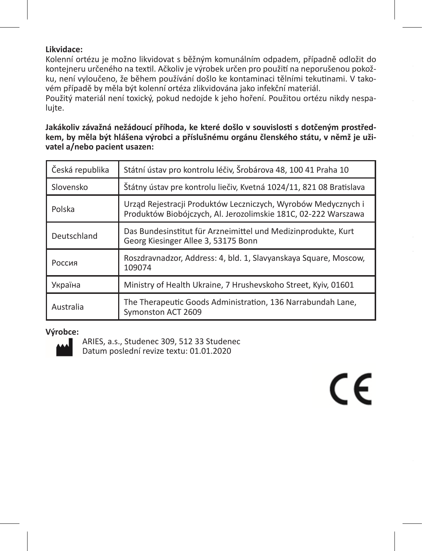# **Likvidace:**

Kolenní ortézu je možno likvidovat s běžným komunálním odpadem, případně odložit do kontejneru určeného na textil. Ačkoliv je výrobek určen pro použití na neporušenou pokožku, není vyloučeno, že během používání došlo ke kontaminaci tělními tekutinami. V takovém případě by měla být kolenní ortéza zlikvidována jako infekční materiál.

Použitý materiál není toxický, pokud nedojde k jeho hoření. Použitou ortézu nikdy nespalujte.

**Jakákoliv závažná nežádoucí příhoda, ke které došlo v souvislosti s dotčeným prostředkem, by měla být hlášena výrobci a příslušnému orgánu členského státu, v němž je uživatel a/nebo pacient usazen:**

| Česká republika | Státní ústav pro kontrolu léčiv, Šrobárova 48, 100 41 Praha 10                                                                  |  |
|-----------------|---------------------------------------------------------------------------------------------------------------------------------|--|
| Slovensko       | Štátny ústav pre kontrolu liečiv, Kvetná 1024/11, 821 08 Bratislava                                                             |  |
| Polska          | Urząd Rejestracji Produktów Leczniczych, Wyrobów Medycznych i<br>Produktów Biobójczych, Al. Jerozolimskie 181C, 02-222 Warszawa |  |
| Deutschland     | Das Bundesinstitut für Arzneimittel und Medizinprodukte, Kurt<br>Georg Kiesinger Allee 3, 53175 Bonn                            |  |
| Россия          | Roszdravnadzor, Address: 4, bld. 1, Slavyanskaya Square, Moscow,<br>109074                                                      |  |
| Україна         | Ministry of Health Ukraine, 7 Hrushevskoho Street, Kyiv, 01601                                                                  |  |
| Australia       | The Therapeutic Goods Administration, 136 Narrabundah Lane,<br>Symonston ACT 2609                                               |  |

CE

## **Výrobce:**



ARIES, a.s., Studenec 309, 512 33 Studenec Datum poslední revize textu: 01.01.2020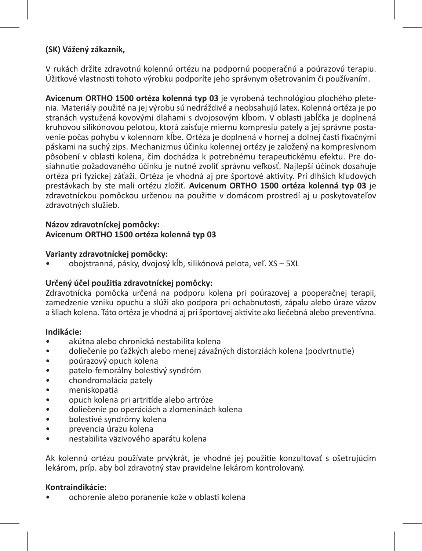# **(SK) Vážený zákazník,**

V rukách držíte zdravotnú kolennú ortézu na podpornú pooperačnú a poúrazovú terapiu. Úžitkové vlastnosti tohoto výrobku podporíte jeho správnym ošetrovaním či používaním.

**Avicenum ORTHO 1500 ortéza kolenná typ 03** je vyrobená technológiou plochého pletenia. Materiály použité na jej výrobu sú nedráždivé a neobsahujú latex. Kolenná ortéza je po stranách vystužená kovovými dlahami s dvojosovým kĺbom. V oblasti jabĺčka je doplnená kruhovou silikónovou pelotou, ktorá zaisťuje miernu kompresiu pately a jej správne postavenie počas pohybu v kolennom kĺbe. Ortéza je doplnená v hornej a dolnej časti fixačnými páskami na suchý zips. Mechanizmus účinku kolennej ortézy je založený na kompresívnom pôsobení v oblasti kolena, čím dochádza k potrebnému terapeutickému efektu. Pre dosiahnutie požadovaného účinku je nutné zvoliť správnu veľkosť. Najlepší účinok dosahuje ortéza pri fyzickej záťaži. Ortéza je vhodná aj pre športové aktivity. Pri dlhších kľudových prestávkach by ste mali ortézu zložiť. **Avicenum ORTHO 1500 ortéza kolenná typ 03** je zdravotníckou pomôckou určenou na použitie v domácom prostredí aj u poskytovateľov zdravotných služieb.

#### **Názov zdravotníckej pomôcky: Avicenum ORTHO 1500 ortéza kolenná typ 03**

# **Varianty zdravotníckej pomôcky:**

• obojstranná, pásky, dvojosý kĺb, silikónová pelota, veľ. XS – 5XL

# **Určený účel použitia zdravotníckej pomôcky:**

Zdravotnícka pomôcka určená na podporu kolena pri poúrazovej a pooperačnej terapii, zamedzenie vzniku opuchu a slúži ako podpora pri ochabnutosti, zápalu alebo úraze väzov a šliach kolena. Táto ortéza je vhodná aj pri športovej aktivite ako liečebná alebo preventívna.

## **Indikácie:**

- akútna alebo chronická nestabilita kolena
- doliečenie po ťažkých alebo menej závažných distorziách kolena (podvrtnutie)
- poúrazový opuch kolena
- patelo-femorálny bolestivý syndróm
- chondromalácia pately
- meniskopatia
- opuch kolena pri artritíde alebo artróze
- doliečenie po operáciách a zlomeninách kolena
- bolestivé syndrómy kolena
- prevencia úrazu kolena
- nestabilita väzivového aparátu kolena

Ak kolennú ortézu používate prvýkrát, je vhodné jej použitie konzultovať s ošetrujúcim lekárom, príp. aby bol zdravotný stav pravidelne lekárom kontrolovaný.

## **Kontraindikácie:**

• ochorenie alebo poranenie kože v oblasti kolena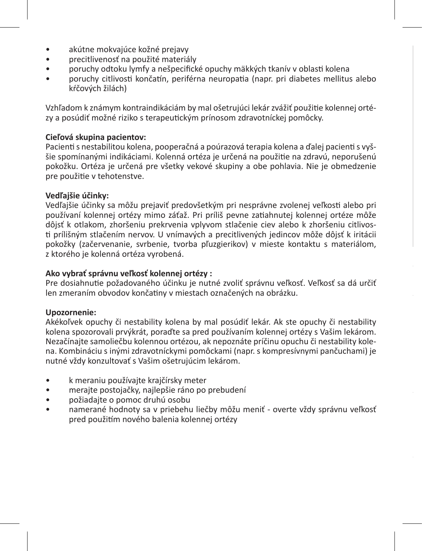- akútne mokvajúce kožné prejavy
- precitlivenosť na použité materiály
- poruchy odtoku lymfy a nešpecifické opuchy mäkkých tkanív v oblasti kolena
- poruchy citlivosti končatín, periférna neuropatia (napr. pri diabetes mellitus alebo kŕčových žilách)

Vzhľadom k známym kontraindikáciám by mal ošetrujúci lekár zvážiť použitie kolennej ortézy a posúdiť možné riziko s terapeutickým prínosom zdravotníckej pomôcky.

# **Cieľová skupina pacientov:**

Pacienti s nestabilitou kolena, pooperačná a poúrazová terapia kolena a ďalej pacienti s vyššie spomínanými indikáciami. Kolenná ortéza je určená na použitie na zdravú, neporušenú pokožku. Ortéza je určená pre všetky vekové skupiny a obe pohlavia. Nie je obmedzenie pre použitie v tehotenstve.

#### **Vedľajšie účinky:**

Vedľajšie účinky sa môžu prejaviť predovšetkým pri nesprávne zvolenej veľkosti alebo pri používaní kolennej ortézy mimo záťaž. Pri príliš pevne zatiahnutej kolennej ortéze môže dôjsť k otlakom, zhoršeniu prekrvenia vplyvom stlačenie ciev alebo k zhoršeniu citlivosti prílišným stlačením nervov. U vnímavých a precitlivených jedincov môže dôjsť k iritácii pokožky (začervenanie, svrbenie, tvorba pľuzgierikov) v mieste kontaktu s materiálom, z ktorého je kolenná ortéza vyrobená.

#### **Ako vybrať správnu veľkosť kolennej ortézy :**

Pre dosiahnutie požadovaného účinku je nutné zvoliť správnu veľkosť. Veľkosť sa dá určiť len zmeraním obvodov končatiny v miestach označených na obrázku.

#### **Upozornenie:**

Akékoľvek opuchy či nestability kolena by mal posúdiť lekár. Ak ste opuchy či nestability kolena spozorovali prvýkrát, poraďte sa pred používaním kolennej ortézy s Vašim lekárom. Nezačínajte samoliečbu kolennou ortézou, ak nepoznáte príčinu opuchu či nestability kolena. Kombináciu s inými zdravotníckymi pomôckami (napr. s kompresívnymi pančuchami) je nutné vždy konzultovať s Vašim ošetrujúcim lekárom.

- k meraniu používajte krajčírsky meter
- merajte postojačky, najlepšie ráno po prebudení
- požiadajte o pomoc druhú osobu
- namerané hodnoty sa v priebehu liečby môžu meniť overte vždy správnu veľkosť pred použitím nového balenia kolennej ortézy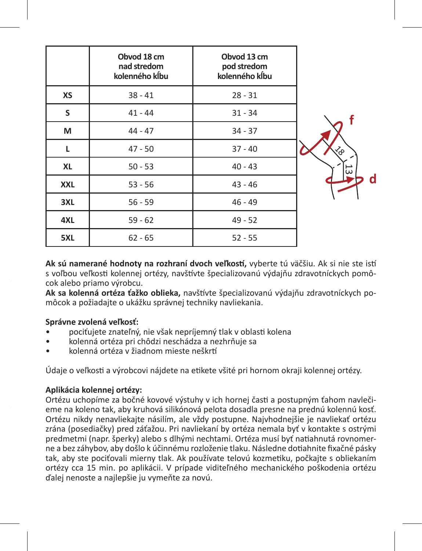|            | Obvod 18 cm<br>nad stredom<br>kolenného kĺbu | Obvod 13 cm<br>pod stredom<br>kolenného kĺbu |
|------------|----------------------------------------------|----------------------------------------------|
| XS         | $38 - 41$                                    | $28 - 31$                                    |
| S          | $41 - 44$                                    | $31 - 34$                                    |
| M          | $44 - 47$                                    | $34 - 37$                                    |
| L          | $47 - 50$                                    | $37 - 40$                                    |
| <b>XL</b>  | $50 - 53$                                    | $40 - 43$                                    |
| <b>XXL</b> | $53 - 56$                                    | $43 - 46$                                    |
| 3XL        | $56 - 59$                                    | $46 - 49$                                    |
| 4XL        | $59 - 62$                                    | $49 - 52$                                    |
| 5XL        | $62 - 65$                                    | $52 - 55$                                    |

**Ak sú namerané hodnoty na rozhraní dvoch veľkostí,** vyberte tú väčšiu. Ak si nie ste istí s voľbou veľkosti kolennej ortézy, navštívte špecializovanú výdajňu zdravotníckych pomôcok alebo priamo výrobcu.

**Ak sa kolenná ortéza ťažko oblieka,** navštívte špecializovanú výdajňu zdravotníckych pomôcok a požiadajte o ukážku správnej techniky navliekania.

## **Správne zvolená veľkosť:**

- pociťujete znateľný, nie však nepríjemný tlak v oblasti kolena
- kolenná ortéza pri chôdzi neschádza a nezhrňuje sa
- kolenná ortéza v žiadnom mieste neškrtí

Údaje o veľkosti a výrobcovi nájdete na etikete všité pri hornom okraji kolennej ortézy.

# **Aplikácia kolennej ortézy:**

Ortézu uchopíme za bočné kovové výstuhy v ich hornej časti a postupným ťahom navlečieme na koleno tak, aby kruhová silikónová pelota dosadla presne na prednú kolennú kosť. Ortézu nikdy nenavliekajte násilím, ale vždy postupne. Najvhodnejšie je navliekať ortézu zrána (posediačky) pred záťažou. Pri navliekaní by ortéza nemala byť v kontakte s ostrými predmetmi (napr. šperky) alebo s dlhými nechtami. Ortéza musí byť natiahnutá rovnomerne a bez záhybov, aby došlo k účinnému rozloženie tlaku. Následne dotiahnite fixačné pásky tak, aby ste pociťovali mierny tlak. Ak používate telovú kozmetiku, počkajte s obliekaním ortézy cca 15 min. po aplikácii. V prípade viditeľného mechanického poškodenia ortézu ďalej nenoste a najlepšie ju vymeňte za novú.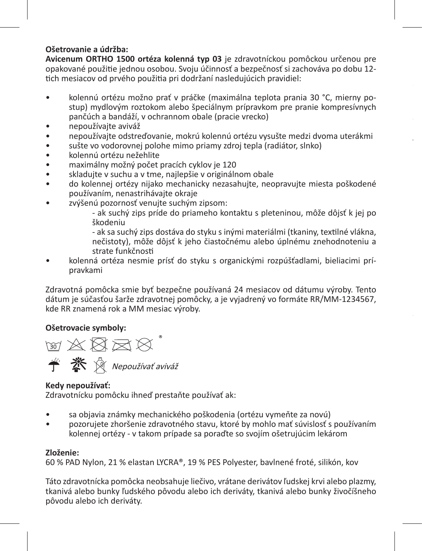# **Ošetrovanie a údržba:**

**Avicenum ORTHO 1500 ortéza kolenná typ 03** je zdravotníckou pomôckou určenou pre opakované použitie jednou osobou. Svoju účinnosť a bezpečnosť si zachováva po dobu 12 tich mesiacov od prvého použitia pri dodržaní nasledujúcich pravidiel:

- kolennú ortézu možno prať v práčke (maximálna teplota prania 30 °C, mierny postup) mydlovým roztokom alebo špeciálnym prípravkom pre pranie kompresívnych pančúch a bandáží, v ochrannom obale (pracie vrecko)
- nepoužívajte aviváž
- nepoužívajte odstreďovanie, mokrú kolennú ortézu vysušte medzi dvoma uterákmi
- sušte vo vodorovnej polohe mimo priamy zdroj tepla (radiátor, slnko)
- kolennú ortézu nežehlite
- maximálny možný počet pracích cyklov je 120
- skladujte v suchu a v tme, najlepšie v originálnom obale
- do kolennej ortézy nijako mechanicky nezasahujte, neopravujte miesta poškodené používaním, nenastrihávajte okraje
- zvýšenú pozornosť venujte suchým zipsom:
	- ak suchý zips príde do priameho kontaktu s pleteninou, môže dôjsť k jej po škodeniu

**je používateľ a/alebo pacient usadený:**

- ak sa suchý zips dostáva do styku s inými materiálmi (tkaniny, textilné vlákna, nečistoty), môže dôjsť k jeho čiastočnému alebo úplnému znehodnoteniu a strate funkčnosti

• kolenná ortéza nesmie prísť do styku s organickými rozpúšťadlami, bieliacimi prípravkami

Zdravotná pomôcka smie byť bezpečne používaná 24 mesiacov od dátumu výroby. Tento dátum je súčasťou šarže zdravotnej pomôcky, a je vyjadrený vo formáte RR/MM-1234567, kde RR znamená rok a MM mesiac výroby.

# **Ošetrovacie symboly:**



# **Kedy nepoužívať:**

Zdravotnícku pomôcku ihneď prestaňte používať ak:

- sa objavia známky mechanického poškodenia (ortézu vymeňte za novú)
- pozorujete zhoršenie zdravotného stavu, ktoré by mohlo mať súvislosť s používaním kolennej ortézy - v takom prípade sa poraďte so svojím ošetrujúcim lekárom

# **Zloženie:**

60 % PAD Nylon, 21 % elastan LYCRA®, 19 % PES Polyester, bavlnené froté, silikón, kov

Táto zdravotnícka pomôcka neobsahuje liečivo, vrátane derivátov ľudskej krvi alebo plazmy, tkanivá alebo bunky ľudského pôvodu alebo ich deriváty, tkanivá alebo bunky živočíšneho pôvodu alebo ich deriváty.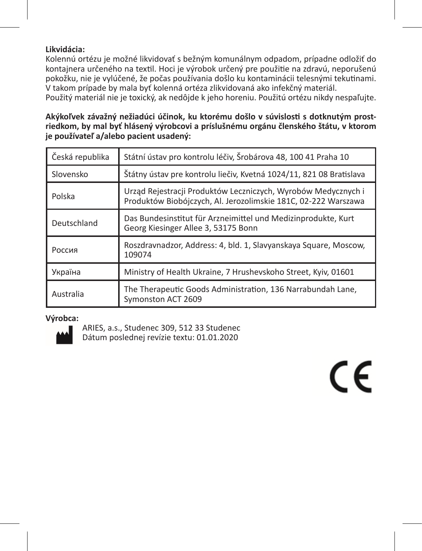# **Likvidácia:**

Kolennú ortézu je možné likvidovať s bežným komunálnym odpadom, prípadne odložiť do kontajnera určeného na textil. Hoci je výrobok určený pre použitie na zdravú, neporušenú pokožku, nie je vylúčené, že počas používania došlo ku kontaminácii telesnými tekutinami. V takom prípade by mala byť kolenná ortéza zlikvidovaná ako infekčný materiál.

Použitý materiál nie je toxický, ak nedôjde k jeho horeniu. Použitú ortézu nikdy nespaľujte.

**Akýkoľvek závažný nežiadúci účinok, ku ktorému došlo v súvislosti s dotknutým prostriedkom, by mal byť hlásený výrobcovi a príslušnému orgánu členského štátu, v ktorom je používateľ a/alebo pacient usadený:**

| Státní ústav pro kontrolu léčiv, Šrobárova 48, 100 41 Praha 10<br>Česká republika    |                                                                                                                                 |
|--------------------------------------------------------------------------------------|---------------------------------------------------------------------------------------------------------------------------------|
| Slovensko                                                                            | Štátny ústav pre kontrolu liečiv, Kvetná 1024/11, 821 08 Bratislava                                                             |
| Polska                                                                               | Urząd Rejestracji Produktów Leczniczych, Wyrobów Medycznych i<br>Produktów Biobójczych, Al. Jerozolimskie 181C, 02-222 Warszawa |
| Deutschland                                                                          | Das Bundesinstitut für Arzneimittel und Medizinprodukte, Kurt<br>Georg Kiesinger Allee 3, 53175 Bonn                            |
| Roszdravnadzor, Address: 4, bld. 1, Slavyanskaya Square, Moscow,<br>Россия<br>109074 |                                                                                                                                 |
| Україна                                                                              | Ministry of Health Ukraine, 7 Hrushevskoho Street, Kyiv, 01601                                                                  |
| Australia                                                                            | The Therapeutic Goods Administration, 136 Narrabundah Lane,<br>Symonston ACT 2609                                               |

# **Výrobca:**



ARIES, a.s., Studenec 309, 512 33 Studenec Dátum poslednej revízie textu: 01.01.2020

# $\epsilon$